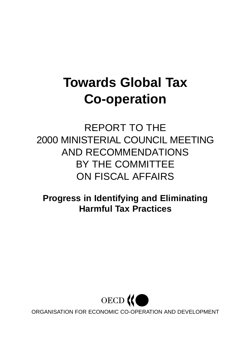# **Towards Global Tax Co-operation**

REPORT TO THE 2000 MINISTERIAL COUNCIL MEETING AND RECOMMENDATIONS BY THE COMMITTEE ON FISCAL AFFAIRS

**Progress in Identifying and Eliminating Harmful Tax Practices**



ORGANISATION FOR ECONOMIC CO-OPERATION AND DEVELOPMENT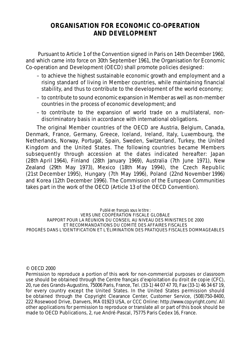### **ORGANISATION FOR ECONOMIC CO-OPERATION AND DEVELOPMENT**

 Pursuant to Article 1 of the Convention signed in Paris on 14th December 1960, and which came into force on 30th September 1961, the Organisation for Economic Co-operation and Development (OECD) shall promote policies designed:

- to achieve the highest sustainable economic growth and employment and a rising standard of living in Member countries, while maintaining financial stability, and thus to contribute to the development of the world economy;
- to contribute to sound economic expansion in Member as well as non-member countries in the process of economic development; and
- to contribute to the expansion of world trade on a multilateral, nondiscriminatory basis in accordance with international obligations.

The original Member countries of the OECD are Austria, Belgium, Canada, Denmark, France, Germany, Greece, Iceland, Ireland, Italy, Luxembourg, the Netherlands, Norway, Portugal, Spain, Sweden, Switzerland, Turkey, the United Kingdom and the United States. The following countries became Members subsequently through accession at the dates indicated hereafter: Japan (28th April 1964), Finland (28th January 1969), Australia (7th June 1971), New Zealand (29th May 1973), Mexico (18th May 1994), the Czech Republic (21st December 1995), Hungary (7th May 1996), Poland (22nd November 1996) and Korea (12th December 1996). The Commission of the European Communities takes part in the work of the OECD (Article 13 of the OECD Convention).

*Publié en français sous le titre :* VERS UNE COOPÉRATION FISCALE GLOBALE RAPPORT POUR LA RÉUNION DU CONSEIL AU NIVEAU DES MINISTRES DE 2000 ET RECOMMANDATIONS DU COMITÉ DES AFFAIRES FISCALES PROGRÈS DANS L'IDENTIFICATION ET L'ÉLIMINATION DES PRATIQUES FISCALES DOMMAGEABLES

#### © OECD 2000

Permission to reproduce a portion of this work for non-commercial purposes or classroom use should be obtained through the Centre français d'exploitation du droit de copie (CFC), 20, rue des Grands-Augustins, 75006 Paris, France, Tel. (33-1) 44 07 47 70, Fax (33-1) 46 34 67 19, for every country except the United States. In the United States permission should be obtained through the Copyright Clearance Center, Customer Service, (508)750-8400, 222 Rosewood Drive, Danvers, MA 01923 USA, or CCC Online: http://www.copyright.com/. All other applications for permission to reproduce or translate all or part of this book should be made to OECD Publications, 2, rue André-Pascal, 75775 Paris Cedex 16, France.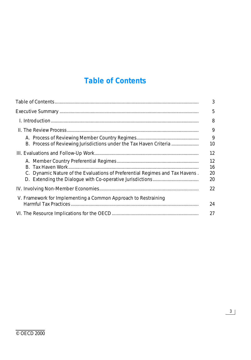# **Table of Contents**

|                                                                              | 3  |
|------------------------------------------------------------------------------|----|
|                                                                              | 5  |
|                                                                              | 8  |
|                                                                              | 9  |
|                                                                              | 9  |
| B. Process of Reviewing Jurisdictions under the Tax Haven Criteria           | 10 |
|                                                                              | 12 |
|                                                                              | 12 |
|                                                                              | 16 |
| C. Dynamic Nature of the Evaluations of Preferential Regimes and Tax Havens. | 20 |
|                                                                              | 20 |
|                                                                              | 22 |
| V. Framework for Implementing a Common Approach to Restraining               |    |
|                                                                              | 24 |
|                                                                              | 27 |

 *3*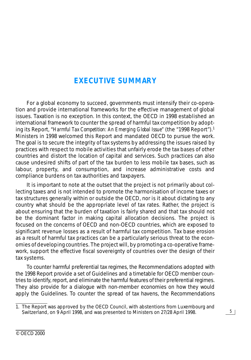### **EXECUTIVE SUMMARY**

For a global economy to succeed, governments must intensify their co-operation and provide international frameworks for the effective management of global issues. Taxation is no exception. In this context, the OECD in 1998 established an international framework to counter the spread of harmful tax competition by adopting its Report, "*Harmful Tax Competition: An Emerging Global Issue"* (the "1998 Report").1 Ministers in 1998 welcomed this Report and mandated OECD to pursue the work. The goal is to secure the integrity of tax systems by addressing the issues raised by practices with respect to mobile activities that unfairly erode the tax bases of other countries and distort the location of capital and services. Such practices can also cause undesired shifts of part of the tax burden to less mobile tax bases, such as labour, property, and consumption, and increase administrative costs and compliance burdens on tax authorities and taxpayers.

It is important to note at the outset that the project is not primarily about collecting taxes and is not intended to promote the harmonisation of income taxes or tax structures generally within or outside the OECD, nor is it about dictating to any country what should be the appropriate level of tax rates. Rather, the project is about ensuring that the burden of taxation is fairly shared and that tax should not be the dominant factor in making capital allocation decisions. The project is focused on the concerns of OECD and non-OECD countries, which are exposed to significant revenue losses as a result of harmful tax competition. Tax base erosion as a result of harmful tax practices can be a particularly serious threat to the economies of developing countries. The project will, by promoting a co-operative framework, support the effective fiscal sovereignty of countries over the design of their tax systems.

To counter harmful preferential tax regimes, the Recommendations adopted with the 1998 Report provide a set of Guidelines and a timetable for OECD member countries to identify, report, and eliminate the harmful features of their preferential regimes. They also provide for a dialogue with non-member economies on how they would apply the Guidelines. To counter the spread of tax havens, the Recommendations

 *5*

<sup>1.</sup> The Report was approved by the OECD Council, with abstentions from Luxembourg and Switzerland, on 9 April 1998, and was presented to Ministers on 27/28 April 1998.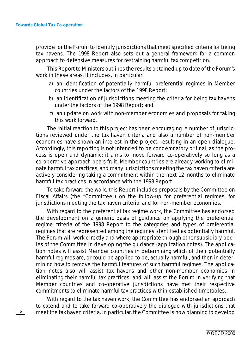provide for the Forum to identify jurisdictions that meet specified criteria for being tax havens. The 1998 Report also sets out a general framework for a common approach to defensive measures for restraining harmful tax competition.

This Report to Ministers outlines the results obtained up to date of the Forum's work in these areas. It includes, in particular:

- *a)* an identification of potentially harmful preferential regimes in Member countries under the factors of the 1998 Report;
- *b)* an identification of jurisdictions meeting the criteria for being tax havens under the factors of the 1998 Report; and
- *c)* an update on work with non-member economies and proposals for taking this work forward.

The initial reaction to this project has been encouraging. A number of jurisdictions reviewed under the tax haven criteria and also a number of non-member economies have shown an interest in the project, resulting in an open dialogue. Accordingly, this reporting is not intended to be condemnatory or final, as the process is open and dynamic; it aims to move forward co-operatively so long as a co-operative approach bears fruit. Member countries are already working to eliminate harmful tax practices, and many jurisdictions meeting the tax haven criteria are actively considering taking a commitment within the next 12 months to eliminate harmful tax practices in accordance with the 1998 Report.

To take forward the work, this Report includes proposals by the Committee on Fiscal Affairs (the "Committee") on the follow-up for preferential regimes, for jurisdictions meeting the tax haven criteria, and for non-member economies.

With regard to the preferential tax regime work, the Committee has endorsed the development on a generic basis of guidance on applying the preferential regime criteria of the 1998 Report to the categories and types of preferential regimes that are represented among the regimes identified as potentially harmful. The Forum will work directly and where appropriate through other subsidiary bodies of the Committee in developing the guidance (application notes). The application notes will assist Member countries in determining which of their potentially harmful regimes are, or could be applied to be, actually harmful, and then in determining how to remove the harmful features of such harmful regimes. The application notes also will assist tax havens and other non-member economies in eliminating their harmful tax practices, and will assist the Forum in verifying that Member countries and co-operative jurisdictions have met their respective commitments to eliminate harmful tax practices within established timetables.

With regard to the tax haven work, the Committee has endorsed an approach to extend and to take forward co-operatively the dialogue with jurisdictions that meet the tax haven criteria. In particular, the Committee is now planning to develop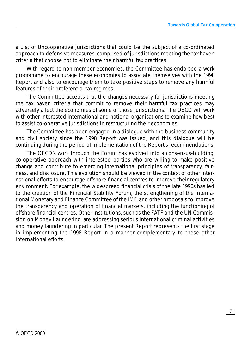*7*

a List of Uncooperative Jurisdictions that could be the subject of a co-ordinated approach to defensive measures, comprised of jurisdictions meeting the tax haven criteria that choose not to eliminate their harmful tax practices.

With regard to non-member economies, the Committee has endorsed a work programme to encourage these economies to associate themselves with the 1998 Report and also to encourage them to take positive steps to remove any harmful features of their preferential tax regimes.

The Committee accepts that the changes necessary for jurisdictions meeting the tax haven criteria that commit to remove their harmful tax practices may adversely affect the economies of some of those jurisdictions. The OECD will work with other interested international and national organisations to examine how best to assist co-operative jurisdictions in restructuring their economies.

The Committee has been engaged in a dialogue with the business community and civil society since the 1998 Report was issued, and this dialogue will be continuing during the period of implementation of the Report's recommendations.

The OECD's work through the Forum has evolved into a consensus-building, co-operative approach with interested parties who are willing to make positive change and contribute to emerging international principles of transparency, fairness, and disclosure. This evolution should be viewed in the context of other international efforts to encourage offshore financial centres to improve their regulatory environment. For example, the widespread financial crisis of the late 1990s has led to the creation of the Financial Stability Forum, the strengthening of the International Monetary and Finance Committee of the IMF, and other proposals to improve the transparency and operation of financial markets, including the functioning of offshore financial centres. Other institutions, such as the FATF and the UN Commission on Money Laundering, are addressing serious international criminal activities and money laundering in particular. The present Report represents the first stage in implementing the 1998 Report in a manner complementary to these other international efforts.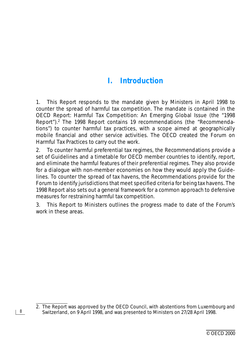### **I. Introduction**

1. This Report responds to the mandate given by Ministers in April 1998 to counter the spread of harmful tax competition. The mandate is contained in the OECD Report: Harmful Tax Competition: An Emerging Global Issue (the "1998 Report").<sup>2</sup> The 1998 Report contains 19 recommendations (the "Recommendations") to counter harmful tax practices, with a scope aimed at geographically mobile financial and other service activities. The OECD created the Forum on Harmful Tax Practices to carry out the work.

2. To counter harmful preferential tax regimes, the Recommendations provide a set of Guidelines and a timetable for OECD member countries to identify, report, and eliminate the harmful features of their preferential regimes. They also provide for a dialogue with non-member economies on how they would apply the Guidelines. To counter the spread of tax havens, the Recommendations provide for the Forum to identify jurisdictions that meet specified criteria for being tax havens. The 1998 Report also sets out a general framework for a common approach to defensive measures for restraining harmful tax competition.

3. This Report to Ministers outlines the progress made to date of the Forum's work in these areas.

2. The Report was approved by the OECD Council, with abstentions from Luxembourg and Switzerland, on 9 April 1998, and was presented to Ministers on 27/28 April 1998.

 *8*

© OECD 2000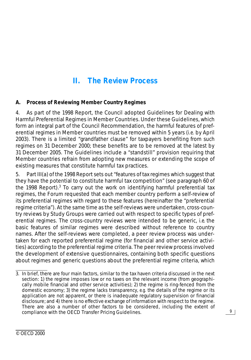### **II. The Review Process**

#### **A. Process of Reviewing Member Country Regimes**

4. As part of the 1998 Report, the Council adopted Guidelines for Dealing with Harmful Preferential Regimes in Member Countries. Under these Guidelines, which form an integral part of the Council Recommendation, the harmful features of preferential regimes in Member countries must be removed within 5 years (*i.e.* by April 2003). There is a limited "grandfather clause" for taxpayers benefiting from such regimes on 31 December 2000; these benefits are to be removed at the latest by 31 December 2005. The Guidelines include a "standstill" provision requiring that Member countries refrain from adopting new measures or extending the scope of existing measures that constitute harmful tax practices.

5. Part III(a) of the 1998 Report sets out "features of tax regimes which suggest that they have the potential to constitute harmful tax competition" (see paragraph 60 of the 1998 Report).<sup>3</sup> To carry out the work on identifying harmful preferential tax regimes, the Forum requested that each member country perform a self-review of its preferential regimes with regard to these features (hereinafter the "preferential regime criteria"). At the same time as the self-reviews were undertaken, cross-country reviews by Study Groups were carried out with respect to specific types of preferential regimes. The cross-country reviews were intended to be generic, *i.e.* the basic features of similar regimes were described without reference to country names. After the self-reviews were completed, a peer review process was undertaken for each reported preferential regime (for financial and other service activities) according to the preferential regime criteria. The peer review process involved the development of extensive questionnaires, containing both specific questions about regimes and generic questions about the preferential regime criteria, which

<sup>3.</sup> In brief, there are four main factors, similar to the tax haven criteria discussed in the next section: 1) the regime imposes low or no taxes on the relevant income (from geographically mobile financial and other service activities); 2) the regime is ring-fenced from the domestic economy; 3) the regime lacks transparency, *e.g.* the details of the regime or its application are not apparent, or there is inadequate regulatory supervision or financial disclosure; and 4) there is no effective exchange of information with respect to the regime. There are also a number of other factors to be considered, including the extent of compliance with the OECD Transfer Pricing Guidelines.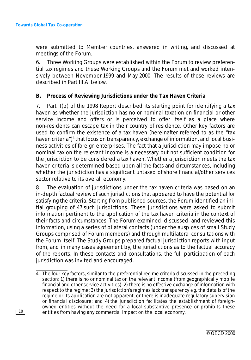were submitted to Member countries, answered in writing, and discussed at meetings of the Forum.

6. Three Working Groups were established within the Forum to review preferential tax regimes and these Working Groups and the Forum met and worked intensively between November 1999 and May 2000. The results of those reviews are described in Part III.A. below.

#### **B. Process of Reviewing Jurisdictions under the Tax Haven Criteria**

7. Part II(b) of the 1998 Report described its starting point for identifying a tax haven as whether the jurisdiction has no or nominal taxation on financial or other service income and offers or is perceived to offer itself as a place where non-residents can escape tax in their country of residence. Other key factors are used to confirm the existence of a tax haven (hereinafter referred to as the "tax haven criteria")<sup>4</sup> that focus on transparency, exchange of information, and local business activities of foreign enterprises. The fact that a jurisdiction may impose no or nominal tax on the relevant income is a necessary but not sufficient condition for the jurisdiction to be considered a tax haven. Whether a jurisdiction meets the tax haven criteria is determined based upon all the facts and circumstances, including whether the jurisdiction has a significant untaxed offshore financial/other services sector relative to its overall economy.

8. The evaluation of jurisdictions under the tax haven criteria was based on an in-depth factual review of such jurisdictions that appeared to have the potential for satisfying the criteria. Starting from published sources, the Forum identified an initial grouping of 47 such jurisdictions. These jurisdictions were asked to submit information pertinent to the application of the tax haven criteria in the context of their facts and circumstances. The Forum examined, discussed, and reviewed this information, using a series of bilateral contacts (under the auspices of small Study Groups comprised of Forum members) and through multilateral consultations with the Forum itself. The Study Groups prepared factual jurisdiction reports with input from, and in many cases agreement by, the jurisdictions as to the factual accuracy of the reports. In these contacts and consultations, the full participation of each jurisdiction was invited and encouraged.

<sup>4.</sup> The four key factors, similar to the preferential regime criteria discussed in the preceding section: 1) there is no or nominal tax on the relevant income (from geographically mobile financial and other service activities); 2) there is no effective exchange of information with respect to the regime; 3) the jurisdiction's regimes lack transparency *e.g.* the details of the regime or its application are not apparent, or there is inadequate regulatory supervision or financial disclosure; and 4) the jurisdiction facilitates the establishment of foreignowned entities without the need for a local substantive presence or prohibits these entities from having any commercial impact on the local economy.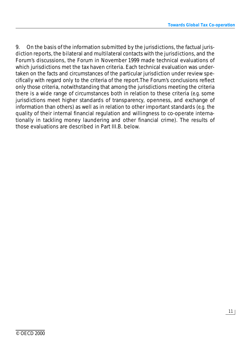9. On the basis of the information submitted by the jurisdictions, the factual jurisdiction reports, the bilateral and multilateral contacts with the jurisdictions, and the Forum's discussions, the Forum in November 1999 made technical evaluations of which jurisdictions met the tax haven criteria. Each technical evaluation was undertaken on the facts and circumstances of the particular jurisdiction under review specifically with regard only to the criteria of the report.The Forum's conclusions reflect only those criteria, notwithstanding that among the jurisdictions meeting the criteria there is a wide range of circumstances both in relation to these criteria (*e.g.* some jurisdictions meet higher standards of transparency, openness, and exchange of information than others) as well as in relation to other important standards (*e.g. t*he quality of their internal financial regulation and willingness to co-operate internationally in tackling money laundering and other financial crime). The results of those evaluations are described in Part III.B. below.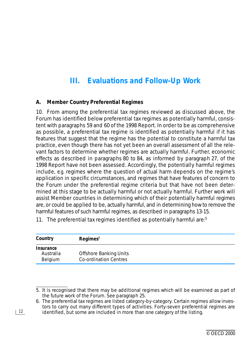# **III. Evaluations and Follow-Up Work**

#### **A. Member Country Preferential Regimes**

10. From among the preferential tax regimes reviewed as discussed above, the Forum has identified below preferential tax regimes as potentially harmful, consistent with paragraphs 59 and 60 of the 1998 Report. In order to be as comprehensive as possible, a preferential tax regime is identified as potentially harmful if it has features that suggest that the regime has the potential to constitute a harmful tax practice, even though there has not yet been an overall assessment of all the relevant factors to determine whether regimes are actually harmful. Further, economic effects as described in paragraphs 80 to 84, as informed by paragraph 27, of the 1998 Report have not been assessed. Accordingly, the potentially harmful regimes include, *e.g.* regimes where the question of actual harm depends on the regime's application in specific circumstances, and regimes that have features of concern to the Forum under the preferential regime criteria but that have not been determined at this stage to be actually harmful or not actually harmful. Further work will assist Member countries in determining which of their potentially harmful regimes are, or could be applied to be, actually harmful, and in determining how to remove the harmful features of such harmful regimes, as described in paragraphs 13-15.

11. The preferential tax regimes identified as potentially harmful are:<sup>5</sup>

| Country                                         | $\mathbf{Regimes}^6$                                          |
|-------------------------------------------------|---------------------------------------------------------------|
| <i>Insurance</i><br>Australia<br><b>Belgium</b> | <b>Offshore Banking Units</b><br><b>Co-ordination Centres</b> |

<sup>5.</sup> It is recognised that there may be additional regimes which will be examined as part of the future work of the Forum. See paragraph 25.

<sup>6.</sup> The preferential tax regimes are listed category-by-category. Certain regimes allow investors to carry out many different types of activities. Forty-seven preferential regimes are identified, but some are included in more than one category of the listing.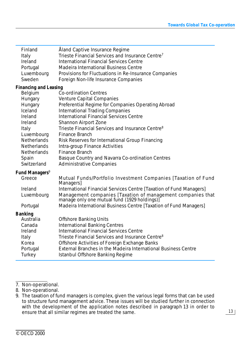| Finland<br>Italy<br>Ireland<br>Portugal<br>Luxembourg<br>Sweden | Aland Captive Insurance Regime<br>Trieste Financial Services and Insurance Centre <sup>7</sup><br><b>International Financial Services Centre</b><br><b>Madeira International Business Centre</b><br>Provisions for Fluctuations in Re-Insurance Companies<br>Foreign Non-life Insurance Companies |  |  |
|-----------------------------------------------------------------|---------------------------------------------------------------------------------------------------------------------------------------------------------------------------------------------------------------------------------------------------------------------------------------------------|--|--|
| <b>Financing and Leasing</b>                                    |                                                                                                                                                                                                                                                                                                   |  |  |
| Belgium                                                         | Co-ordination Centres                                                                                                                                                                                                                                                                             |  |  |
| Hungary                                                         | <b>Venture Capital Companies</b>                                                                                                                                                                                                                                                                  |  |  |
| Hungary                                                         | Preferential Regime for Companies Operating Abroad                                                                                                                                                                                                                                                |  |  |
| Iceland                                                         | <b>International Trading Companies</b>                                                                                                                                                                                                                                                            |  |  |
| Ireland                                                         | <b>International Financial Services Centre</b>                                                                                                                                                                                                                                                    |  |  |
| Ireland                                                         | <b>Shannon Airport Zone</b>                                                                                                                                                                                                                                                                       |  |  |
| Italy                                                           | Trieste Financial Services and Insurance Centre <sup>8</sup>                                                                                                                                                                                                                                      |  |  |
| Luxembourg                                                      | Finance Branch                                                                                                                                                                                                                                                                                    |  |  |
| <b>Netherlands</b>                                              | <b>Risk Reserves for International Group Financing</b>                                                                                                                                                                                                                                            |  |  |
| <b>Netherlands</b>                                              | <b>Intra-group Finance Activities</b>                                                                                                                                                                                                                                                             |  |  |
| <b>Netherlands</b>                                              | Finance Branch                                                                                                                                                                                                                                                                                    |  |  |
| Spain                                                           | <b>Basque Country and Navarra Co-ordination Centres</b>                                                                                                                                                                                                                                           |  |  |
| Switzerland                                                     | <b>Administrative Companies</b>                                                                                                                                                                                                                                                                   |  |  |
| Fund Managers $^9$                                              |                                                                                                                                                                                                                                                                                                   |  |  |
| Greece                                                          | Mutual Funds/Portfolio Investment Companies [Taxation of Fund<br>Managers]                                                                                                                                                                                                                        |  |  |
| Ireland                                                         | International Financial Services Centre [Taxation of Fund Managers]                                                                                                                                                                                                                               |  |  |
| Luxembourg                                                      | Management companies [Taxation of management companies that<br>manage only one mutual fund (1929 holdings)]                                                                                                                                                                                       |  |  |
| Portugal                                                        | Madeira International Business Centre [Taxation of Fund Managers]                                                                                                                                                                                                                                 |  |  |
| Banking                                                         |                                                                                                                                                                                                                                                                                                   |  |  |
| Australia                                                       | <b>Offshore Banking Units</b>                                                                                                                                                                                                                                                                     |  |  |
| Canada                                                          | <b>International Banking Centres</b>                                                                                                                                                                                                                                                              |  |  |
| Ireland                                                         | <b>International Financial Services Centre</b>                                                                                                                                                                                                                                                    |  |  |
| Italy                                                           | Trieste Financial Services and Insurance Centre <sup>8</sup>                                                                                                                                                                                                                                      |  |  |
| Korea                                                           | Offshore Activities of Foreign Exchange Banks                                                                                                                                                                                                                                                     |  |  |
| Portugal                                                        | External Branches in the Madeira International Business Centre                                                                                                                                                                                                                                    |  |  |
| Turkey                                                          | <b>Istanbul Offshore Banking Regime</b>                                                                                                                                                                                                                                                           |  |  |

<sup>7.</sup> Non-operational.

<sup>8.</sup> Non-operational.

<sup>9.</sup> The taxation of fund managers is complex, given the various legal forms that can be used to structure fund management advice. These issues will be studied further in connection with the development of the application notes described in paragraph 13 in order to ensure that all similar regimes are treated the same.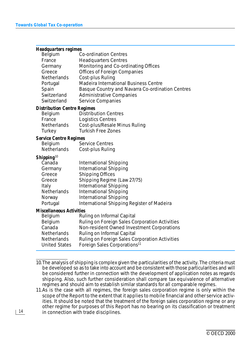| <b>Headquarters regimes</b>        |                                                         |
|------------------------------------|---------------------------------------------------------|
| Belgium                            | <b>Co-ordination Centres</b>                            |
| France                             | <b>Headquarters Centres</b>                             |
| Germany                            | Monitoring and Co-ordinating Offices                    |
| Greece                             | <b>Offices of Foreign Companies</b>                     |
| <b>Netherlands</b>                 | Cost-plus Ruling                                        |
| Portugal                           | Madeira International Business Centre                   |
| Spain                              | <b>Basque Country and Navarra Co-ordination Centres</b> |
| Switzerland                        | <b>Administrative Companies</b>                         |
| Switzerland                        | <b>Service Companies</b>                                |
| <b>Distribution Centre Regimes</b> |                                                         |
| <b>Belgium</b>                     | <b>Distribution Centres</b>                             |
| France                             | <b>Logistics Centres</b>                                |
| <b>Netherlands</b>                 | <b>Cost-plus/Resale Minus Ruling</b>                    |
| Turkey                             | <b>Turkish Free Zones</b>                               |
| <b>Service Centre Regimes</b>      |                                                         |
| Belgium                            | <b>Service Centres</b>                                  |
| <b>Netherlands</b>                 | Cost-plus Ruling                                        |
| $\boldsymbol{Shipping}^{\!10}$     |                                                         |
| Canada                             | <b>International Shipping</b>                           |
| Germany                            | <b>International Shipping</b>                           |
| Greece                             | <b>Shipping Offices</b>                                 |
| Greece                             | Shipping Regime (Law 27/75)                             |
| Italy                              | <b>International Shipping</b>                           |
| <b>Netherlands</b>                 | <b>International Shipping</b>                           |
| Norway                             | <b>International Shipping</b>                           |
| Portugal                           | <b>International Shipping Register of Madeira</b>       |
| <b>Miscellaneous Activities</b>    |                                                         |
| <b>Belgium</b>                     | <b>Ruling on Informal Capital</b>                       |
| Belgium                            | <b>Ruling on Foreign Sales Corporation Activities</b>   |
| Canada                             | Non-resident Owned Investment Corporations              |
| <b>Netherlands</b>                 | Ruling on Informal Capital                              |
| <b>Netherlands</b>                 | Ruling on Foreign Sales Corporation Activities          |
| <b>United States</b>               | Foreign Sales Corporations <sup>11</sup>                |
|                                    |                                                         |

<sup>10.</sup>The analysis of shipping is complex given the particularities of the activity. The criteria must be developed so as to take into account and be consistent with those particularities and will be considered further in connection with the development of application notes as regards shipping. Also, such further consideration shall compare tax equivalence of alternative regimes and should aim to establish similar standards for all comparable regimes.

<sup>11.</sup>As is the case with all regimes, the foreign sales corporation regime is only within the scope of the Report to the extent that it applies to mobile financial and other service activities. It should be noted that the treatment of the foreign sales corporation regime or any other regime for purposes of this Report has no bearing on its classification or treatment in connection with trade disciplines.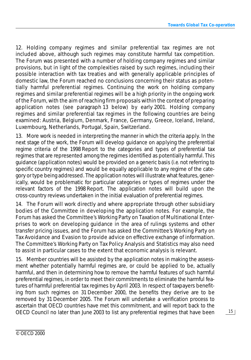12. Holding company regimes and similar preferential tax regimes are not included above, although such regimes may constitute harmful tax competition. The Forum was presented with a number of holding company regimes and similar provisions, but in light of the complexities raised by such regimes, including their possible interaction with tax treaties and with generally applicable principles of domestic law, the Forum reached no conclusions concerning their status as potentially harmful preferential regimes. Continuing the work on holding company regimes and similar preferential regimes will be a high priority in the ongoing work of the Forum, with the aim of reaching firm proposals within the context of preparing application notes (see paragraph 13 below) by early 2001. Holding company regimes and similar preferential tax regimes in the following countries are being examined: Austria, Belgium, Denmark, France, Germany, Greece, Iceland, Ireland, Luxembourg, Netherlands, Portugal, Spain, Switzerland.

13. More work is needed in interpreting the manner in which the criteria apply. In the next stage of the work, the Forum will develop guidance on applying the preferential regime criteria of the 1998 Report to the categories and types of preferential tax regimes that are represented among the regimes identified as potentially harmful. This guidance (application notes) would be provided on a generic basis (*i.e.* not referring to specific country regimes) and would be equally applicable to any regime of the category or type being addressed. The application notes will illustrate what features, generically, would be problematic for particular categories or types of regimes under the relevant factors of the 1998 Report. The application notes will build upon the cross-country reviews undertaken in the initial evaluation of preferential regimes.

14. The Forum will work directly and where appropriate through other subsidiary bodies of the Committee in developing the application notes. For example, the Forum has asked the Committee's Working Party on Taxation of Multinational Enterprises to work on developing guidance in the area of rulings systems and other transfer pricing issues, and the Forum has asked the Committee's Working Party on Tax Avoidance and Evasion to provide advice on effective exchange of information. The Committee's Working Party on Tax Policy Analysis and Statistics may also need to assist in particular cases to the extent that economic analysis is relevant.

15. Member countries will be assisted by the application notes in making the assessment whether potentially harmful regimes are, or could be applied to be, actually harmful, and then in determining how to remove the harmful features of such harmful preferential regimes, in order to meet their commitments to eliminate the harmful features of harmful preferential tax regimes by April 2003. In respect of taxpayers benefiting from such regimes on 31 December 2000, the benefits they derive are to be removed by 31 December 2005. The Forum will undertake a verification process to ascertain that OECD countries have met this commitment, and will report back to the OECD Council no later than June 2003 to list any preferential regimes that have been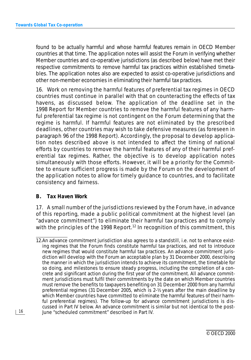found to be actually harmful and whose harmful features remain in OECD Member countries at that time. The application notes will assist the Forum in verifying whether Member countries and co-operative jurisdictions (as described below) have met their respective commitments to remove harmful tax practices within established timetables. The application notes also are expected to assist co-operative jurisdictions and other non-member economies in eliminating their harmful tax practices.

16. Work on removing the harmful features of preferential tax regimes in OECD countries must continue in parallel with that on counteracting the effects of tax havens, as discussed below. The application of the deadline set in the 1998 Report for Member countries to remove the harmful features of any harmful preferential tax regime is not contingent on the Forum determining that the regime is harmful. If harmful features are not eliminated by the prescribed deadlines, other countries may wish to take defensive measures (as foreseen in paragraph 96 of the 1998 Report). Accordingly, the proposal to develop application notes described above is not intended to affect the timing of national efforts by countries to remove the harmful features of any of their harmful preferential tax regimes. Rather, the objective is to develop application notes simultaneously with those efforts. However, it will be a priority for the Committee to ensure sufficient progress is made by the Forum on the development of the application notes to allow for timely guidance to countries, and to facilitate consistency and fairness.

#### **B. Tax Haven Work**

17. A small number of the jurisdictions reviewed by the Forum have, in advance of this reporting, made a public political commitment at the highest level (an "advance commitment") to eliminate their harmful tax practices and to comply with the principles of the 1998 Report.<sup>12</sup> In recognition of this commitment, this

<sup>12.</sup>An advance commitment jurisdiction also agrees to a standstill, i.e. not to enhance existing regimes that the Forum finds constitute harmful tax practices, and not to introduce new regimes that would constitute harmful tax practices. An advance commitment jurisdiction will develop with the Forum an acceptable plan by 31 December 2000, describing the manner in which the jurisdiction intends to achieve its commitment, the timetable for so doing, and milestones to ensure steady progress, including the completion of a concrete and significant action during the first year of the commitment. All advance commitment jurisdictions must fulfil their commitments by the date on which Member countries must remove the benefits to taxpayers benefiting on 31 December 2000 from any harmful preferential regimes (31 December 2005, which is 2-½ years after the main deadline by which Member countries have committed to eliminate the harmful features of their harmful preferential regimes). The follow-up for advance commitment jurisdictions is discussed in Part IV below. An advance commitment is similar but not identical to the post-June "scheduled commitment" described in Part IV.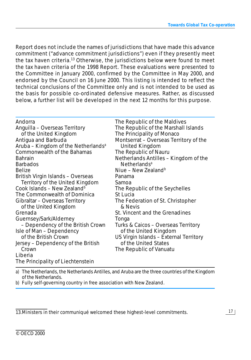Report does not include the names of jurisdictions that have made this advance commitment ("advance commitment jurisdictions") even if they presently meet the tax haven criteria.13 Otherwise, the jurisdictions below were found to meet the tax haven criteria of the 1998 Report. These evaluations were presented to the Committee in January 2000, confirmed by the Committee in May 2000, and endorsed by the Council on 16 June 2000. This listing is intended to reflect the technical conclusions of the Committee only and is not intended to be used as the basis for possible co-ordinated defensive measures. Rather, as discussed below, a further list will be developed in the next 12 months for this purpose.

| Andorra                                         | The Republic of the Maldives           |
|-------------------------------------------------|----------------------------------------|
| Anguilla - Overseas Territory                   | The Republic of the Marshall Islands   |
| of the United Kingdom                           | The Principality of Monaco             |
| Antigua and Barbuda                             | Montserrat - Overseas Territory of the |
| Aruba – Kingdom of the Netherlands <sup>a</sup> | <b>United Kingdom</b>                  |
| <b>Commonwealth of the Bahamas</b>              | The Republic of Nauru                  |
| Bahrain                                         | Netherlands Antilles - Kingdom of the  |
| <b>Barbados</b>                                 | Netherlands <sup>a</sup>               |
| <b>Belize</b>                                   | Niue – New Zealand <sup>b</sup>        |
| British Virgin Islands - Overseas               | Panama                                 |
| Territory of the United Kingdom                 | Samoa                                  |
| Cook Islands – New Zealand <sup>b</sup>         | The Republic of the Seychelles         |
| The Commonwealth of Dominica                    | <b>St Lucia</b>                        |
| Gibraltar - Overseas Territory                  | The Federation of St. Christopher      |
| of the United Kingdom                           | & Nevis                                |
| Grenada                                         | St. Vincent and the Grenadines         |
| Guernsey/Sark/Alderney                          | Tonga                                  |
| - Dependency of the British Crown               | Turks & Caicos – Overseas Territory    |
| Isle of Man - Dependency                        | of the United Kingdom                  |
| of the British Crown                            | US Virgin Islands - External Territory |
| Jersey – Dependency of the British              | of the United States                   |
| Crown                                           | The Republic of Vanuatu                |
| Liberia                                         |                                        |
| The Principality of Liechtenstein               |                                        |

*a)* The Netherlands, the Netherlands Antilles, and Aruba are the three countries of the Kingdom of the Netherlands.

*b)* Fully self-governing country in free association with New Zealand.

13.Ministers in their communiqué welcomed these highest-level commitments.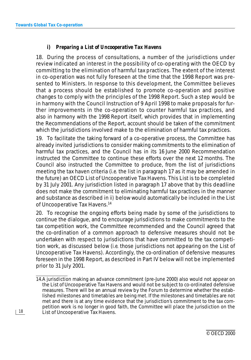#### *i) Preparing a List of Uncooperative Tax Havens*

18. During the process of consultations, a number of the jurisdictions under review indicated an interest in the possibility of co-operating with the OECD by committing to the elimination of harmful tax practices. The extent of the interest in co-operation was not fully foreseen at the time that the 1998 Report was presented to Ministers. In response to this development, the Committee believes that a process should be established to promote co-operation and positive changes to comply with the principles of the 1998 Report. Such a step would be in harmony with the Council Instruction of 9 April 1998 to make proposals for further improvements in the co-operation to counter harmful tax practices, and also in harmony with the 1998 Report itself, which provides that in implementing the Recommendations of the Report, account should be taken of the commitment which the jurisdictions involved make to the elimination of harmful tax practices.

19. To facilitate the taking forward of a co-operative process, the Committee has already invited jurisdictions to consider making commitments to the elimination of harmful tax practices, and the Council has in its 16 June 2000 Recommendation instructed the Committee to continue these efforts over the next 12 months. The Council also instructed the Committee to produce, from the list of jurisdictions meeting the tax haven criteria (*i.e.* the list in paragraph 17 as it may be amended in the future) an OECD List of Uncooperative Tax Havens. This List is to be completed by 31 July 2001. Any jurisdiction listed in paragraph 17 above that by this deadline does not make the commitment to eliminating harmful tax practices in the manner and substance as described in *ii)* below would automatically be included in the List of Uncooperative Tax Havens.<sup>14</sup>

20. To recognise the ongoing efforts being made by some of the jurisdictions to continue the dialogue, and to encourage jurisdictions to make commitments to the tax competition work, the Committee recommended and the Council agreed that the co-ordination of a common approach to defensive measures should not be undertaken with respect to jurisdictions that have committed to the tax competition work, as discussed below (*i.e.* those jurisdictions not appearing on the List of Uncooperative Tax Havens). Accordingly, the co-ordination of defensive measures foreseen in the 1998 Report, as described in Part IV below will not be implemented prior to 31 July 2001.

<sup>14.</sup>A jurisdiction making an advance commitment (pre-June 2000) also would not appear on the List of Uncooperative Tax Havens and would not be subject to co-ordinated defensive measures. There will be an annual review by the Forum to determine whether the established milestones and timetables are being met. If the milestones and timetables are not met and there is at any time evidence that the jurisdiction's commitment to the tax competition work is no longer in good faith, the Committee will place the jurisdiction on the List of Uncooperative Tax Havens.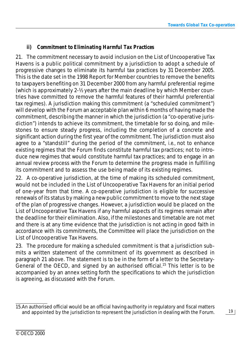#### *ii) Commitment to Eliminating Harmful Tax Practices*

21. The commitment necessary to avoid inclusion on the List of Uncooperative Tax Havens is a public political commitment by a jurisdiction to adopt a schedule of progressive changes to eliminate its harmful tax practices by 31 December 2005. This is the date set in the 1998 Report for Member countries to remove the benefits to taxpayers benefiting on 31 December 2000 from any harmful preferential regime (which is approximately 2-½ years after the main deadline by which Member countries have committed to remove the harmful features of their harmful preferential tax regimes). A jurisdiction making this commitment (a "scheduled commitment") will develop with the Forum an acceptable plan within 6 months of having made the commitment, describing the manner in which the jurisdiction (a "co-operative jurisdiction") intends to achieve its commitment, the timetable for so doing, and milestones to ensure steady progress, including the completion of a concrete and significant action during the first year of the commitment. The jurisdiction must also agree to a "standstill" during the period of the commitment, *i.e.,* not to enhance existing regimes that the Forum finds constitute harmful tax practices; not to introduce new regimes that would constitute harmful tax practices; and to engage in an annual review process with the Forum to determine the progress made in fulfilling its commitment and to assess the use being made of its existing regimes.

22. A co-operative jurisdiction, at the time of making its scheduled commitment, would not be included in the List of Uncooperative Tax Havens for an initial period of one-year from that time. A co-operative jurisdiction is eligible for successive renewals of its status by making a new public commitment to move to the next stage of the plan of progressive changes. However, a jurisdiction would be placed on the List of Uncooperative Tax Havens if any harmful aspects of its regimes remain after the deadline for their elimination. Also, if the milestones and timetable are not met and there is at any time evidence that the jurisdiction is not acting in good faith in accordance with its commitments, the Committee will place the jurisdiction on the List of Uncooperative Tax Havens.

23. The procedure for making a scheduled commitment is that a jurisdiction submits a written statement of the commitment of its government as described in paragraph 21 above. The statement is to be in the form of a letter to the Secretary-General of the OECD, and signed by an authorised official.15 This letter is to be accompanied by an annex setting forth the specifications to which the jurisdiction is agreeing, as discussed with the Forum.

<sup>15.</sup>An authorised official would be an official having authority in regulatory and fiscal matters and appointed by the jurisdiction to represent the jurisdiction in dealing with the Forum.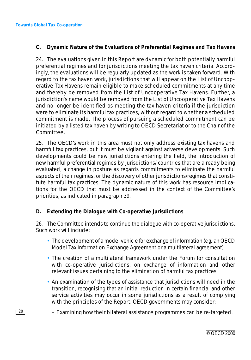#### **C. Dynamic Nature of the Evaluations of Preferential Regimes and Tax Havens**

24. The evaluations given in this Report are dynamic for both potentially harmful preferential regimes and for jurisdictions meeting the tax haven criteria. Accordingly, the evaluations will be regularly updated as the work is taken forward. With regard to the tax haven work, jurisdictions that will appear on the List of Uncooperative Tax Havens remain eligible to make scheduled commitments at any time and thereby be removed from the List of Uncooperative Tax Havens. Further, a jurisdiction's name would be removed from the List of Uncooperative Tax Havens and no longer be identified as meeting the tax haven criteria if the jurisdiction were to eliminate its harmful tax practices, without regard to whether a scheduled commitment is made. The process of pursuing a scheduled commitment can be initiated by a listed tax haven by writing to OECD Secretariat or to the Chair of the Committee.

25. The OECD's work in this area must not only address existing tax havens and harmful tax practices, but it must be vigilant against adverse developments. Such developments could be new jurisdictions entering the field, the introduction of new harmful preferential regimes by jurisdictions/ countries that are already being evaluated, a change in posture as regards commitments to eliminate the harmful aspects of their regimes, or the discovery of other jurisdictions/regimes that constitute harmful tax practices. The dynamic nature of this work has resource implications for the OECD that must be addressed in the context of the Committee's priorities, as indicated in paragraph 39.

#### **D. Extending the Dialogue with Co-operative Jurisdictions**

26. The Committee intends to continue the dialogue with co-operative jurisdictions. Such work will include:

- The development of a model vehicle for exchange of information (*e.g.* an OECD Model Tax Information Exchange Agreement or a multilateral agreement).
- The creation of a multilateral framework under the Forum for consultation with co-operative jurisdictions, on exchange of information and other relevant issues pertaining to the elimination of harmful tax practices.
- An examination of the types of assistance that jurisdictions will need in the transition, recognising that an initial reduction in certain financial and other service activities may occur in some jurisdictions as a result of complying with the principles of the Report. OECD governments may consider:
- Examining how their bilateral assistance programmes can be re-targeted.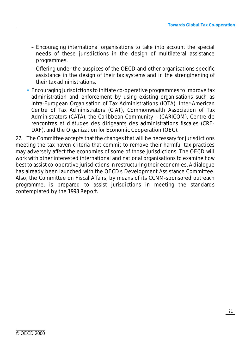- Encouraging international organisations to take into account the special needs of these jurisdictions in the design of multilateral assistance programmes.
- Offering under the auspices of the OECD and other organisations specific assistance in the design of their tax systems and in the strengthening of their tax administrations.
- Encouraging jurisdictions to initiate co-operative programmes to improve tax administration and enforcement by using existing organisations such as Intra-European Organisation of Tax Administrations (IOTA), Inter-American Centre of Tax Administrators (CIAT), Commonwealth Association of Tax Administrators (CATA), the Caribbean Community – (CARICOM), Centre de rencontres et d'études des dirigeants des administrations fiscales (CRE-DAF), and the Organization for Economic Cooperation (OEC).

27. The Committee accepts that the changes that will be necessary for jurisdictions meeting the tax haven criteria that commit to remove their harmful tax practices may adversely affect the economies of some of those jurisdictions. The OECD will work with other interested international and national organisations to examine how best to assist co-operative jurisdictions in restructuring their economies. A dialogue has already been launched with the OECD's Development Assistance Committee. Also, the Committee on Fiscal Affairs, by means of its CCNM-sponsored outreach programme, is prepared to assist jurisdictions in meeting the standards contemplated by the 1998 Report.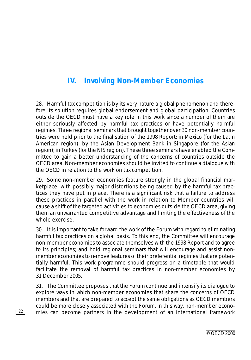# **IV. Involving Non-Member Economies**

28. Harmful tax competition is by its very nature a global phenomenon and therefore its solution requires global endorsement and global participation. Countries outside the OECD must have a key role in this work since a number of them are either seriously affected by harmful tax practices or have potentially harmful regimes. Three regional seminars that brought together over 30 non-member countries were held prior to the finalisation of the 1998 Report: in Mexico (for the Latin American region); by the Asian Development Bank in Singapore (for the Asian region); in Turkey (for the NIS region). These three seminars have enabled the Committee to gain a better understanding of the concerns of countries outside the OECD area. Non-member economies should be invited to continue a dialogue with the OECD in relation to the work on tax competition.

29. Some non-member economies feature strongly in the global financial marketplace, with possibly major distortions being caused by the harmful tax practices they have put in place. There is a significant risk that a failure to address these practices in parallel with the work in relation to Member countries will cause a shift of the targeted activities to economies outside the OECD area, giving them an unwarranted competitive advantage and limiting the effectiveness of the whole exercise.

30. It is important to take forward the work of the Forum with regard to eliminating harmful tax practices on a global basis. To this end, the Committee will encourage non-member economies to associate themselves with the 1998 Report and to agree to its principles; and hold regional seminars that will encourage and assist nonmember economies to remove features of their preferential regimes that are potentially harmful. This work programme should progress on a timetable that would facilitate the removal of harmful tax practices in non-member economies by 31 December 2005.

31. The Committee proposes that the Forum continue and intensify its dialogue to explore ways in which non-member economies that share the concerns of OECD members and that are prepared to accept the same obligations as OECD members could be more closely associated with the Forum. In this way, non-member economies can become partners in the development of an international framework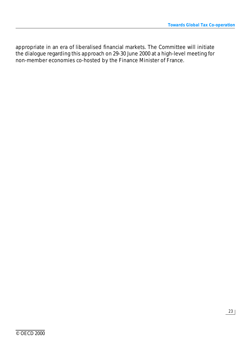appropriate in an era of liberalised financial markets. The Committee will initiate the dialogue regarding this approach on 29-30 June 2000 at a high-level meeting for non-member economies co-hosted by the Finance Minister of France.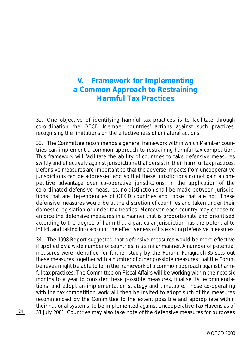### **V. Framework for Implementing a Common Approach to Restraining Harmful Tax Practices**

32. One objective of identifying harmful tax practices is to facilitate through co-ordination the OECD Member countries' actions against such practices, recognising the limitations on the effectiveness of unilateral actions.

33. The Committee recommends a general framework within which Member countries can implement a common approach to restraining harmful tax competition. This framework will facilitate the ability of countries to take defensive measures swiftly and effectively against jurisdictions that persist in their harmful tax practices. Defensive measures are important so that the adverse impacts from uncooperative jurisdictions can be addressed and so that these jurisdictions do not gain a competitive advantage over co-operative jurisdictions. In the application of the co-ordinated defensive measures, no distinction shall be made between jurisdictions that are dependencies of OECD countries and those that are not. These defensive measures would be at the discretion of countries and taken under their domestic legislation or under tax treaties. Moreover, each country may choose to enforce the defensive measures in a manner that is proportionate and prioritised according to the degree of harm that a particular jurisdiction has the potential to inflict, and taking into account the effectiveness of its existing defensive measures.

34. The 1998 Report suggested that defensive measures would be more effective if applied by a wide number of countries in a similar manner. A number of potential measures were identified for further study by the Forum. Paragraph 35 sets out these measures together with a number of other possible measures that the Forum believes might be able to form the framework of a common approach against harmful tax practices. The Committee on Fiscal Affairs will be working within the next six months to a year to consider these possible measures, finalise its recommendations, and adopt an implementation strategy and timetable. Those co-operating with the tax competition work will then be invited to adopt such of the measures recommended by the Committee to the extent possible and appropriate within their national systems, to be implemented against Uncooperative Tax Havens as of 31 July 2001. Countries may also take note of the defensive measures for purposes

 *24*

© OECD 2000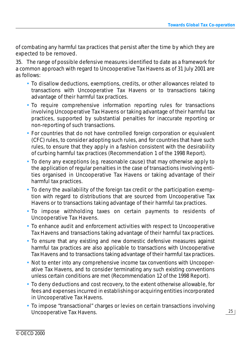of combating any harmful tax practices that persist after the time by which they are expected to be removed.

35. The range of possible defensive measures identified to date as a framework for a common approach with regard to Uncooperative Tax Havens as of 31 July 2001 are as follows:

- To disallow deductions, exemptions, credits, or other allowances related to transactions with Uncooperative Tax Havens or to transactions taking advantage of their harmful tax practices.
- To require comprehensive information reporting rules for transactions involving Uncooperative Tax Havens or taking advantage of their harmful tax practices, supported by substantial penalties for inaccurate reporting or non-reporting of such transactions.
- For countries that do not have controlled foreign corporation or equivalent (CFC) rules, to consider adopting such rules, and for countries that have such rules, to ensure that they apply in a fashion consistent with the desirability of curbing harmful tax practices (Recommendation 1 of the 1998 Report).
- To deny any exceptions (*e.g.* reasonable cause) that may otherwise apply to the application of regular penalties in the case of transactions involving entities organised in Uncooperative Tax Havens or taking advantage of their harmful tax practices.
- To deny the availability of the foreign tax credit or the participation exemption with regard to distributions that are sourced from Uncooperative Tax Havens or to transactions taking advantage of their harmful tax practices.
- To impose withholding taxes on certain payments to residents of Uncooperative Tax Havens.
- To enhance audit and enforcement activities with respect to Uncooperative Tax Havens and transactions taking advantage of their harmful tax practices.
- To ensure that any existing and new domestic defensive measures against harmful tax practices are also applicable to transactions with Uncooperative Tax Havens and to transactions taking advantage of their harmful tax practices.
- Not to enter into any comprehensive income tax conventions with Uncooperative Tax Havens, and to consider terminating any such existing conventions unless certain conditions are met (Recommendation 12 of the 1998 Report).
- To deny deductions and cost recovery, to the extent otherwise allowable, for fees and expenses incurred in establishing or acquiring entities incorporated in Uncooperative Tax Havens.
- To impose "transactional" charges or levies on certain transactions involving Uncooperative Tax Havens.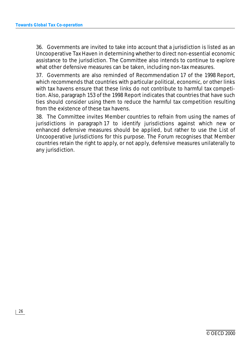36. Governments are invited to take into account that a jurisdiction is listed as an Uncooperative Tax Haven in determining whether to direct non-essential economic assistance to the jurisdiction. The Committee also intends to continue to explore what other defensive measures can be taken, including non-tax measures.

37. Governments are also reminded of Recommendation 17 of the 1998 Report, which recommends that countries with particular political, economic, or other links with tax havens ensure that these links do not contribute to harmful tax competition. Also, paragraph 153 of the 1998 Report indicates that countries that have such ties should consider using them to reduce the harmful tax competition resulting from the existence of these tax havens.

38. The Committee invites Member countries to refrain from using the names of jurisdictions in paragraph 17 to identify jurisdictions against which new or enhanced defensive measures should be applied, but rather to use the List of Uncooperative Jurisdictions for this purpose. The Forum recognises that Member countries retain the right to apply, or not apply, defensive measures unilaterally to any jurisdiction.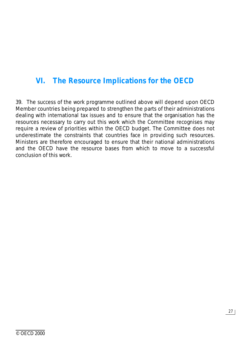# **VI. The Resource Implications for the OECD**

39. The success of the work programme outlined above will depend upon OECD Member countries being prepared to strengthen the parts of their administrations dealing with international tax issues and to ensure that the organisation has the resources necessary to carry out this work which the Committee recognises may require a review of priorities within the OECD budget. The Committee does not underestimate the constraints that countries face in providing such resources. Ministers are therefore encouraged to ensure that their national administrations and the OECD have the resource bases from which to move to a successful conclusion of this work.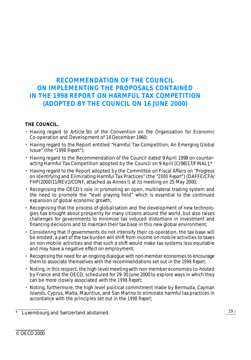### **RECOMMENDATION OF THE COUNCIL ON IMPLEMENTING THE PROPOSALS CONTAINED IN THE 1998 REPORT ON HARMFUL TAX COMPETITION (ADOPTED BY THE COUNCIL ON 16 JUNE 2000)**

#### **THE COUNCIL,**

- Having regard to Article 5*b)* of the Convention on the Organisation for Economic Co-operation and Development of 14 December 1960;
- Having regard to the Report entitled "Harmful Tax Competition; An Emerging Global Issue" (the "*1998 Report*");
- Having regard to the Recommendation of the Council dated 9 April 1998 on counteracting Harmful Tax Competition adopted by the Council on 9 April [C(98)17/FINAL];\*
- Having regard to the Report adopted by the Committee on Fiscal Affairs on "Progress on Identifying and Eliminating Harmful Tax Practices" (the "*2000 Report*") (DAFFE/CFA/ FHP(2000)11/REV2/CONF, attached as Annex I) at its meeting on 25 May 2000;
- Recognising the OECD's role in promoting an open, multilateral trading system and the need to promote the "level playing field" which is essential to the continued expansion of global economic growth;
- Recognising that the process of globalisation and the development of new technologies has brought about prosperity for many citizens around the world, but also raises challenges for governments to minimise tax induced distortions in investment and financing decisions and to maintain their tax base in this new global environment;
- Considering that if governments do not intensify their co-operation, the tax base will be eroded, a part of the tax burden will shift from income on mobile activities to taxes on non mobile activities and that such a shift would make tax systems less equitable and may have a negative effect on employment;
- Recognising the need for an ongoing dialogue with non-member economies to encourage them to associate themselves with the recommendations set out in the *1998 Report*;
- Noting, in this respect, the high-level meeting with non-member economies co-hosted by France and the OECD, scheduled for 29-30 June 2000 to explore ways in which they can be more closely associated with the *1998 Report*;
- Noting, furthermore, the high level political commitment made by Bermuda, Cayman Islands, Cyprus, Malta, Mauritius, and San Marino to eliminate harmful tax practices in accordance with the principles set out in the *1998 Report*;

Luxembourg and Switzerland abstained.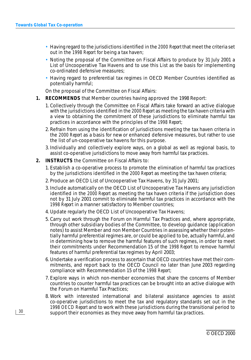- Having regard to the jurisdictions identified in the *2000 Report* that meet the criteria set out in the *1998 Report* for being a tax haven;
- Noting the proposal of the Committee on Fiscal Affairs to produce by 31 July 2001 a List of Uncooperative Tax Havens and to use this List as the basis for implementing co-ordinated defensive measures;
- Having regard to preferential tax regimes in OECD Member Countries identified as potentially harmful;

On the proposal of the Committee on Fiscal Affairs:

- **1. RECOMMENDS** that Member countries having approved the 1998 Report:
	- 1. Collectively through the Committee on Fiscal Affairs take forward an active dialogue with the jurisdictions identified in the *2000 Report* as meeting the tax haven criteria with a view to obtaining the commitment of these jurisdictions to eliminate harmful tax practices in accordance with the principles of the *1998 Report*;
	- 2. Refrain from using the identification of jurisdictions meeting the tax haven criteria in the *2000 Report* as a basis for new or enhanced defensive measures, but rather to use the list of un-cooperative tax havens for this purpose.
	- 3. Individually and collectively explore ways, on a global as well as regional basis, to assist co-operative jurisdictions to move away from harmful tax practices.
- **2. INSTRUCTS** the Committee on Fiscal Affairs to:
	- 1. Establish a co-operative process to promote the elimination of harmful tax practices by the jurisdictions identified in the *2000 Report* as meeting the tax haven criteria;
	- 2. Produce an OECD List of Uncooperative Tax Havens, by 31 July 2001;
	- 3. Include automatically on the OECD List of Uncooperative Tax Havens any jurisdiction identified in the *2000 Report* as meeting the tax haven criteria if the jurisdiction does not by 31 July 2001 commit to eliminate harmful tax practices in accordance with the *1998 Report* in a manner satisfactory to Member countries;
	- 4. Update regularly the OECD List of Uncooperative Tax Havens;
	- 5. Carry out work through the Forum on Harmful Tax Practices and, where appropriate, through other subsidiary bodies of the Committee, to develop guidance (application notes) to assist Member and non Member Countries in assessing whether their potentially harmful preferential regimes are, or could be applied to be, actually harmful, and in determining how to remove the harmful features of such regimes, in order to meet their commitments under Recommendation 15 of the *1998 Report* to remove harmful features of harmful preferential tax regimes by April 2003;
	- 6. Undertake a verification process to ascertain that OECD countries have met their commitments, and report back to the OECD Council no later than June 2003 regarding compliance with Recommendation 15 of the *1998 Report*;
	- 7. Explore ways in which non-member economies that share the concerns of Member countries to counter harmful tax practices can be brought into an active dialogue with the Forum on Harmful Tax Practices;
	- 8. Work with interested international and bilateral assistance agencies to assist co-operative jurisdictions to meet the tax and regulatory standards set out in the *1998 OECD Report* and to work with these jurisdictions during the transitional period to support their economies as they move away from harmful tax practices.